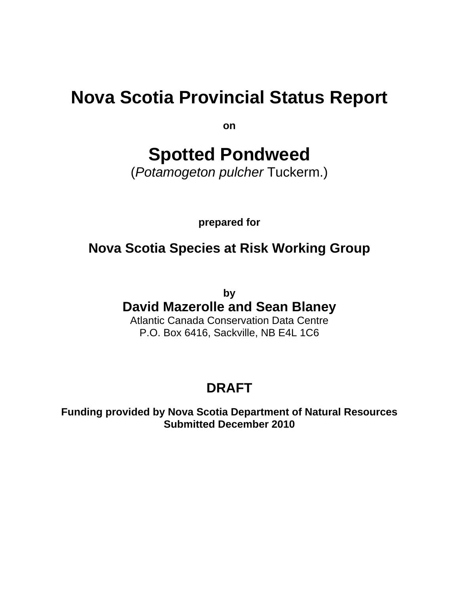# **Nova Scotia Provincial Status Report**

**on** 

# **Spotted Pondweed**

(*Potamogeton pulcher* Tuckerm.)

**prepared for** 

## **Nova Scotia Species at Risk Working Group**

**by**

## **David Mazerolle and Sean Blaney**

Atlantic Canada Conservation Data Centre P.O. Box 6416, Sackville, NB E4L 1C6

## **DRAFT**

**Funding provided by Nova Scotia Department of Natural Resources Submitted December 2010**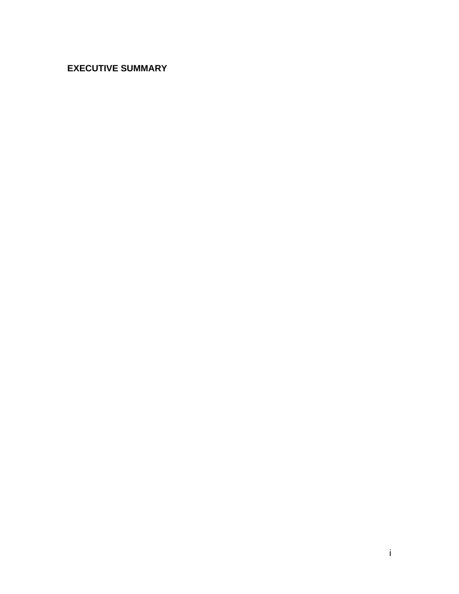## **EXECUTIVE SUMMARY**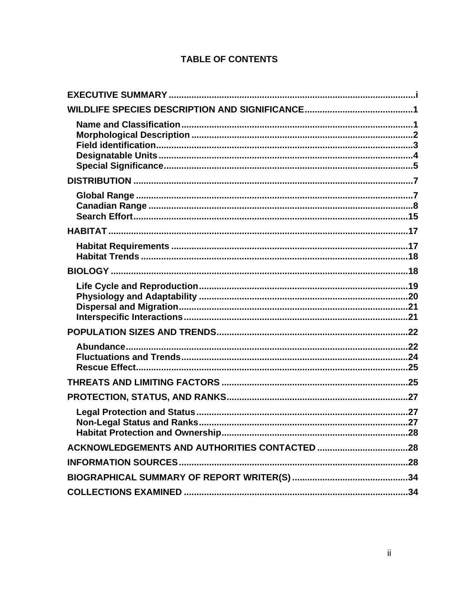## **TABLE OF CONTENTS**

| <b>Non-Legal Status and Ranks.</b> |  |
|------------------------------------|--|
|                                    |  |
|                                    |  |
|                                    |  |
|                                    |  |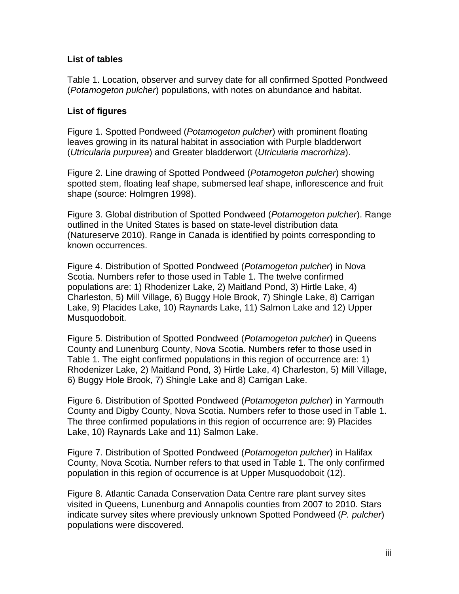## **List of tables**

Table 1. Location, observer and survey date for all confirmed Spotted Pondweed (*Potamogeton pulcher*) populations, with notes on abundance and habitat.

## **List of figures**

Figure 1. Spotted Pondweed (*Potamogeton pulcher*) with prominent floating leaves growing in its natural habitat in association with Purple bladderwort (*Utricularia purpurea*) and Greater bladderwort (*Utricularia macrorhiza*).

Figure 2. Line drawing of Spotted Pondweed (*Potamogeton pulcher*) showing spotted stem, floating leaf shape, submersed leaf shape, inflorescence and fruit shape (source: Holmgren 1998).

Figure 3. Global distribution of Spotted Pondweed (*Potamogeton pulcher*). Range outlined in the United States is based on state-level distribution data (Natureserve 2010). Range in Canada is identified by points corresponding to known occurrences.

Figure 4. Distribution of Spotted Pondweed (*Potamogeton pulcher*) in Nova Scotia. Numbers refer to those used in Table 1. The twelve confirmed populations are: 1) Rhodenizer Lake, 2) Maitland Pond, 3) Hirtle Lake, 4) Charleston, 5) Mill Village, 6) Buggy Hole Brook, 7) Shingle Lake, 8) Carrigan Lake, 9) Placides Lake, 10) Raynards Lake, 11) Salmon Lake and 12) Upper Musquodoboit.

Figure 5. Distribution of Spotted Pondweed (*Potamogeton pulcher*) in Queens County and Lunenburg County, Nova Scotia. Numbers refer to those used in Table 1. The eight confirmed populations in this region of occurrence are: 1) Rhodenizer Lake, 2) Maitland Pond, 3) Hirtle Lake, 4) Charleston, 5) Mill Village, 6) Buggy Hole Brook, 7) Shingle Lake and 8) Carrigan Lake.

Figure 6. Distribution of Spotted Pondweed (*Potamogeton pulcher*) in Yarmouth County and Digby County, Nova Scotia. Numbers refer to those used in Table 1. The three confirmed populations in this region of occurrence are: 9) Placides Lake, 10) Raynards Lake and 11) Salmon Lake.

Figure 7. Distribution of Spotted Pondweed (*Potamogeton pulcher*) in Halifax County, Nova Scotia. Number refers to that used in Table 1. The only confirmed population in this region of occurrence is at Upper Musquodoboit (12).

Figure 8. Atlantic Canada Conservation Data Centre rare plant survey sites visited in Queens, Lunenburg and Annapolis counties from 2007 to 2010. Stars indicate survey sites where previously unknown Spotted Pondweed (*P. pulcher*) populations were discovered.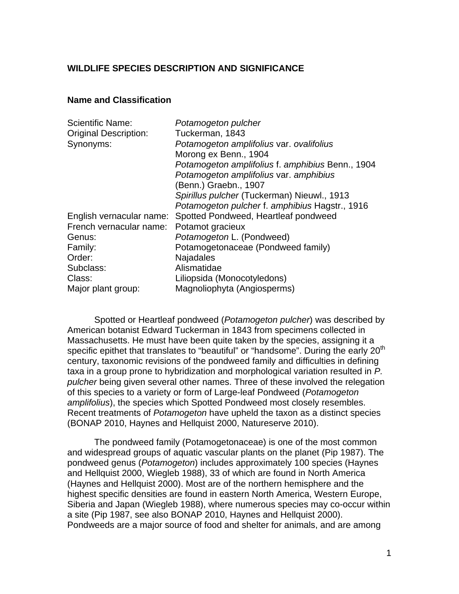## **WILDLIFE SPECIES DESCRIPTION AND SIGNIFICANCE**

#### **Name and Classification**

| Potamogeton pulcher                                              |
|------------------------------------------------------------------|
| Tuckerman, 1843                                                  |
| Potamogeton amplifolius var. ovalifolius                         |
| Morong ex Benn., 1904                                            |
| Potamogeton amplifolius f. amphibius Benn., 1904                 |
| Potamogeton amplifolius var. amphibius                           |
| (Benn.) Graebn., 1907                                            |
| Spirillus pulcher (Tuckerman) Nieuwl., 1913                      |
| Potamogeton pulcher f. amphibius Hagstr., 1916                   |
| Spotted Pondweed, Heartleaf pondweed<br>English vernacular name: |
| Potamot gracieux                                                 |
| Potamogeton L. (Pondweed)                                        |
| Potamogetonaceae (Pondweed family)                               |
| Najadales                                                        |
| Alismatidae                                                      |
| Liliopsida (Monocotyledons)                                      |
| Magnoliophyta (Angiosperms)                                      |
|                                                                  |

Spotted or Heartleaf pondweed (*Potamogeton pulcher*) was described by American botanist Edward Tuckerman in 1843 from specimens collected in Massachusetts. He must have been quite taken by the species, assigning it a specific epithet that translates to "beautiful" or "handsome". During the early  $20<sup>th</sup>$ century, taxonomic revisions of the pondweed family and difficulties in defining taxa in a group prone to hybridization and morphological variation resulted in *P. pulcher* being given several other names. Three of these involved the relegation of this species to a variety or form of Large-leaf Pondweed (*Potamogeton amplifolius*), the species which Spotted Pondweed most closely resembles. Recent treatments of *Potamogeton* have upheld the taxon as a distinct species (BONAP 2010, Haynes and Hellquist 2000, Natureserve 2010).

The pondweed family (Potamogetonaceae) is one of the most common and widespread groups of aquatic vascular plants on the planet (Pip 1987). The pondweed genus (*Potamogeton*) includes approximately 100 species (Haynes and Hellquist 2000, Wiegleb 1988), 33 of which are found in North America (Haynes and Hellquist 2000). Most are of the northern hemisphere and the highest specific densities are found in eastern North America, Western Europe, Siberia and Japan (Wiegleb 1988), where numerous species may co-occur within a site (Pip 1987, see also BONAP 2010, Haynes and Hellquist 2000). Pondweeds are a major source of food and shelter for animals, and are among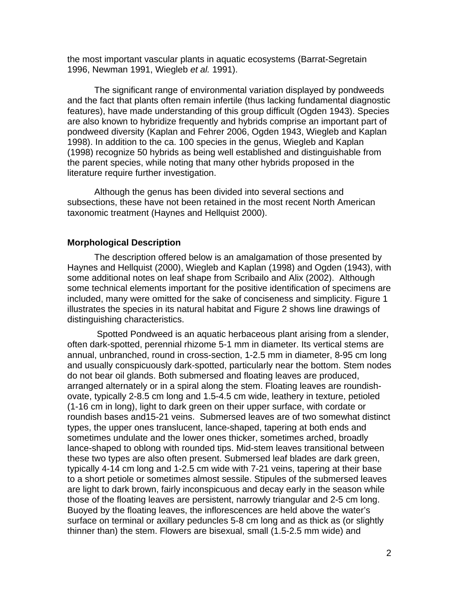the most important vascular plants in aquatic ecosystems (Barrat-Segretain 1996, Newman 1991, Wiegleb *et al.* 1991).

The significant range of environmental variation displayed by pondweeds and the fact that plants often remain infertile (thus lacking fundamental diagnostic features), have made understanding of this group difficult (Ogden 1943). Species are also known to hybridize frequently and hybrids comprise an important part of pondweed diversity (Kaplan and Fehrer 2006, Ogden 1943, Wiegleb and Kaplan 1998). In addition to the ca. 100 species in the genus, Wiegleb and Kaplan (1998) recognize 50 hybrids as being well established and distinguishable from the parent species, while noting that many other hybrids proposed in the literature require further investigation.

Although the genus has been divided into several sections and subsections, these have not been retained in the most recent North American taxonomic treatment (Haynes and Hellquist 2000).

#### **Morphological Description**

The description offered below is an amalgamation of those presented by Haynes and Hellquist (2000), Wiegleb and Kaplan (1998) and Ogden (1943), with some additional notes on leaf shape from Scribailo and Alix (2002). Although some technical elements important for the positive identification of specimens are included, many were omitted for the sake of conciseness and simplicity. Figure 1 illustrates the species in its natural habitat and Figure 2 shows line drawings of distinguishing characteristics.

 Spotted Pondweed is an aquatic herbaceous plant arising from a slender, often dark-spotted, perennial rhizome 5-1 mm in diameter. Its vertical stems are annual, unbranched, round in cross-section, 1-2.5 mm in diameter, 8-95 cm long and usually conspicuously dark-spotted, particularly near the bottom. Stem nodes do not bear oil glands. Both submersed and floating leaves are produced, arranged alternately or in a spiral along the stem. Floating leaves are roundishovate, typically 2-8.5 cm long and 1.5-4.5 cm wide, leathery in texture, petioled (1-16 cm in long), light to dark green on their upper surface, with cordate or roundish bases and15-21 veins. Submersed leaves are of two somewhat distinct types, the upper ones translucent, lance-shaped, tapering at both ends and sometimes undulate and the lower ones thicker, sometimes arched, broadly lance-shaped to oblong with rounded tips. Mid-stem leaves transitional between these two types are also often present. Submersed leaf blades are dark green, typically 4-14 cm long and 1-2.5 cm wide with 7-21 veins, tapering at their base to a short petiole or sometimes almost sessile. Stipules of the submersed leaves are light to dark brown, fairly inconspicuous and decay early in the season while those of the floating leaves are persistent, narrowly triangular and 2-5 cm long. Buoyed by the floating leaves, the inflorescences are held above the water's surface on terminal or axillary peduncles 5-8 cm long and as thick as (or slightly thinner than) the stem. Flowers are bisexual, small (1.5-2.5 mm wide) and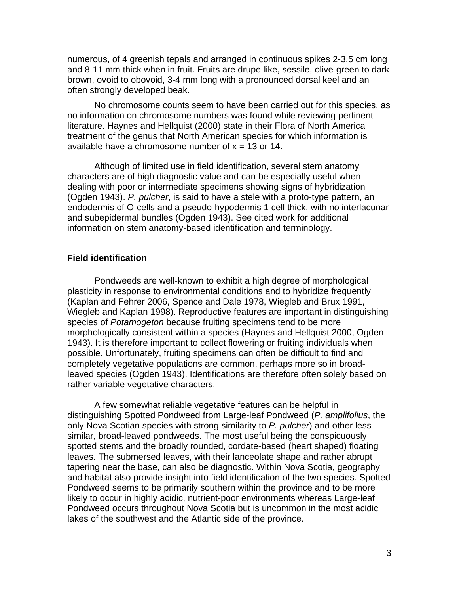numerous, of 4 greenish tepals and arranged in continuous spikes 2-3.5 cm long and 8-11 mm thick when in fruit. Fruits are drupe-like, sessile, olive-green to dark brown, ovoid to obovoid, 3-4 mm long with a pronounced dorsal keel and an often strongly developed beak.

No chromosome counts seem to have been carried out for this species, as no information on chromosome numbers was found while reviewing pertinent literature. Haynes and Hellquist (2000) state in their Flora of North America treatment of the genus that North American species for which information is available have a chromosome number of  $x = 13$  or 14.

Although of limited use in field identification, several stem anatomy characters are of high diagnostic value and can be especially useful when dealing with poor or intermediate specimens showing signs of hybridization (Ogden 1943). *P. pulcher*, is said to have a stele with a proto-type pattern, an endodermis of O-cells and a pseudo-hypodermis 1 cell thick, with no interlacunar and subepidermal bundles (Ogden 1943). See cited work for additional information on stem anatomy-based identification and terminology.

## **Field identification**

Pondweeds are well-known to exhibit a high degree of morphological plasticity in response to environmental conditions and to hybridize frequently (Kaplan and Fehrer 2006, Spence and Dale 1978, Wiegleb and Brux 1991, Wiegleb and Kaplan 1998). Reproductive features are important in distinguishing species of *Potamogeton* because fruiting specimens tend to be more morphologically consistent within a species (Haynes and Hellquist 2000, Ogden 1943). It is therefore important to collect flowering or fruiting individuals when possible. Unfortunately, fruiting specimens can often be difficult to find and completely vegetative populations are common, perhaps more so in broadleaved species (Ogden 1943). Identifications are therefore often solely based on rather variable vegetative characters.

A few somewhat reliable vegetative features can be helpful in distinguishing Spotted Pondweed from Large-leaf Pondweed (*P. amplifolius*, the only Nova Scotian species with strong similarity to *P. pulcher*) and other less similar, broad-leaved pondweeds. The most useful being the conspicuously spotted stems and the broadly rounded, cordate-based (heart shaped) floating leaves. The submersed leaves, with their lanceolate shape and rather abrupt tapering near the base, can also be diagnostic. Within Nova Scotia, geography and habitat also provide insight into field identification of the two species. Spotted Pondweed seems to be primarily southern within the province and to be more likely to occur in highly acidic, nutrient-poor environments whereas Large-leaf Pondweed occurs throughout Nova Scotia but is uncommon in the most acidic lakes of the southwest and the Atlantic side of the province.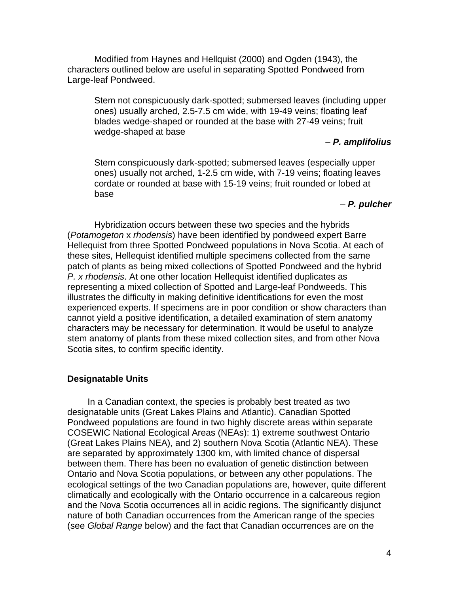Modified from Haynes and Hellquist (2000) and Ogden (1943), the characters outlined below are useful in separating Spotted Pondweed from Large-leaf Pondweed.

Stem not conspicuously dark-spotted; submersed leaves (including upper ones) usually arched, 2.5-7.5 cm wide, with 19-49 veins; floating leaf blades wedge-shaped or rounded at the base with 27-49 veins; fruit wedge-shaped at base

#### – *P. amplifolius*

Stem conspicuously dark-spotted; submersed leaves (especially upper ones) usually not arched, 1-2.5 cm wide, with 7-19 veins; floating leaves cordate or rounded at base with 15-19 veins; fruit rounded or lobed at base

#### – *P. pulcher*

Hybridization occurs between these two species and the hybrids (*Potamogeton* x *rhodensis*) have been identified by pondweed expert Barre Hellequist from three Spotted Pondweed populations in Nova Scotia. At each of these sites, Hellequist identified multiple specimens collected from the same patch of plants as being mixed collections of Spotted Pondweed and the hybrid *P. x rhodensis*. At one other location Hellequist identified duplicates as representing a mixed collection of Spotted and Large-leaf Pondweeds. This illustrates the difficulty in making definitive identifications for even the most experienced experts. If specimens are in poor condition or show characters than cannot yield a positive identification, a detailed examination of stem anatomy characters may be necessary for determination. It would be useful to analyze stem anatomy of plants from these mixed collection sites, and from other Nova Scotia sites, to confirm specific identity.

#### **Designatable Units**

In a Canadian context, the species is probably best treated as two designatable units (Great Lakes Plains and Atlantic). Canadian Spotted Pondweed populations are found in two highly discrete areas within separate COSEWIC National Ecological Areas (NEAs): 1) extreme southwest Ontario (Great Lakes Plains NEA), and 2) southern Nova Scotia (Atlantic NEA). These are separated by approximately 1300 km, with limited chance of dispersal between them. There has been no evaluation of genetic distinction between Ontario and Nova Scotia populations, or between any other populations. The ecological settings of the two Canadian populations are, however, quite different climatically and ecologically with the Ontario occurrence in a calcareous region and the Nova Scotia occurrences all in acidic regions. The significantly disjunct nature of both Canadian occurrences from the American range of the species (see *Global Range* below) and the fact that Canadian occurrences are on the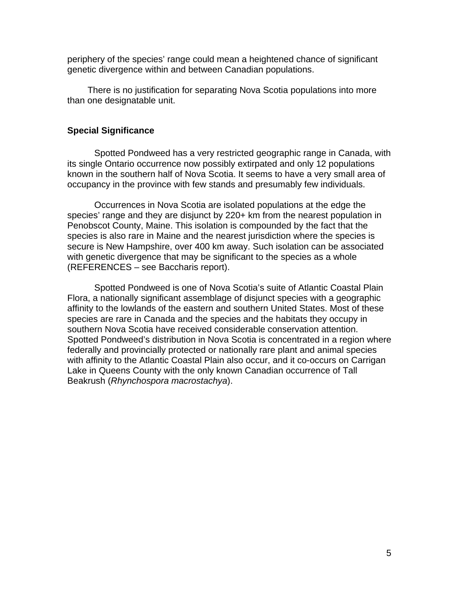periphery of the species' range could mean a heightened chance of significant genetic divergence within and between Canadian populations.

There is no justification for separating Nova Scotia populations into more than one designatable unit.

#### **Special Significance**

Spotted Pondweed has a very restricted geographic range in Canada, with its single Ontario occurrence now possibly extirpated and only 12 populations known in the southern half of Nova Scotia. It seems to have a very small area of occupancy in the province with few stands and presumably few individuals.

Occurrences in Nova Scotia are isolated populations at the edge the species' range and they are disjunct by 220+ km from the nearest population in Penobscot County, Maine. This isolation is compounded by the fact that the species is also rare in Maine and the nearest jurisdiction where the species is secure is New Hampshire, over 400 km away. Such isolation can be associated with genetic divergence that may be significant to the species as a whole (REFERENCES – see Baccharis report).

Spotted Pondweed is one of Nova Scotia's suite of Atlantic Coastal Plain Flora, a nationally significant assemblage of disjunct species with a geographic affinity to the lowlands of the eastern and southern United States. Most of these species are rare in Canada and the species and the habitats they occupy in southern Nova Scotia have received considerable conservation attention. Spotted Pondweed's distribution in Nova Scotia is concentrated in a region where federally and provincially protected or nationally rare plant and animal species with affinity to the Atlantic Coastal Plain also occur, and it co-occurs on Carrigan Lake in Queens County with the only known Canadian occurrence of Tall Beakrush (*Rhynchospora macrostachya*).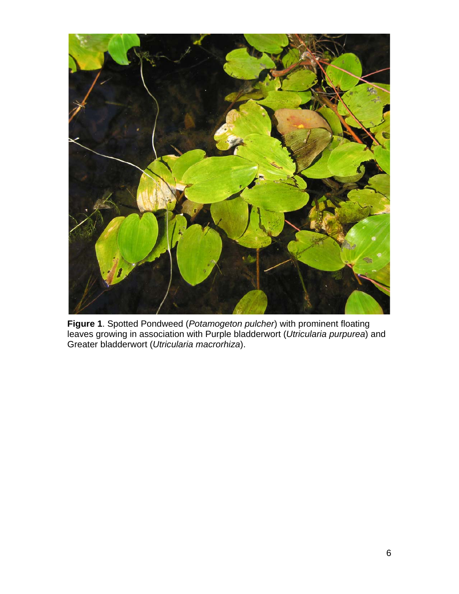

**Figure 1**. Spotted Pondweed (*Potamogeton pulcher*) with prominent floating leaves growing in association with Purple bladderwort (*Utricularia purpurea*) and Greater bladderwort (*Utricularia macrorhiza*).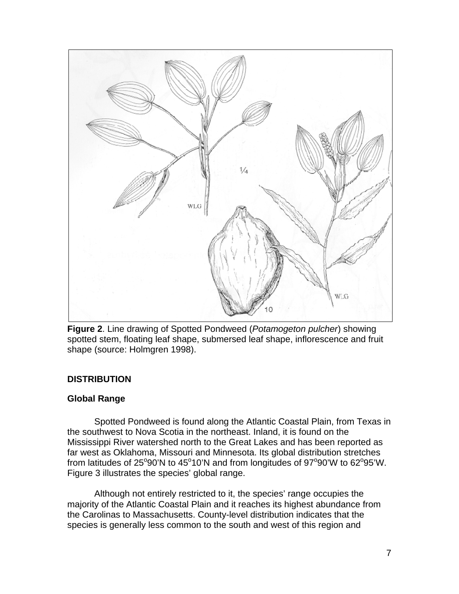

**Figure 2**. Line drawing of Spotted Pondweed (*Potamogeton pulcher*) showing spotted stem, floating leaf shape, submersed leaf shape, inflorescence and fruit shape (source: Holmgren 1998).

## **DISTRIBUTION**

## **Global Range**

Spotted Pondweed is found along the Atlantic Coastal Plain, from Texas in the southwest to Nova Scotia in the northeast. Inland, it is found on the Mississippi River watershed north to the Great Lakes and has been reported as far west as Oklahoma, Missouri and Minnesota. Its global distribution stretches from latitudes of 25°90'N to 45°10'N and from longitudes of 97°90'W to 62°95'W. Figure 3 illustrates the species' global range.

Although not entirely restricted to it, the species' range occupies the majority of the Atlantic Coastal Plain and it reaches its highest abundance from the Carolinas to Massachusetts. County-level distribution indicates that the species is generally less common to the south and west of this region and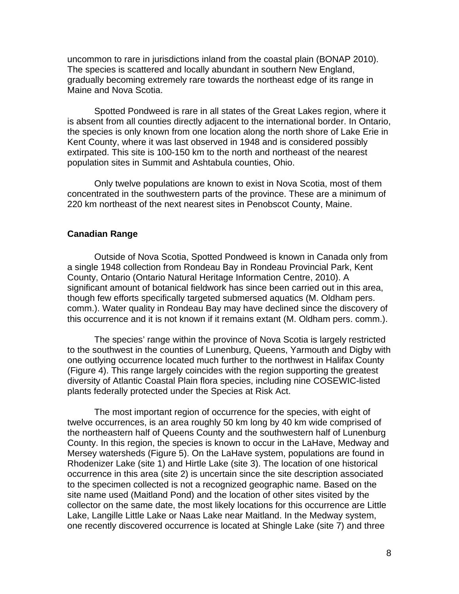uncommon to rare in jurisdictions inland from the coastal plain (BONAP 2010). The species is scattered and locally abundant in southern New England, gradually becoming extremely rare towards the northeast edge of its range in Maine and Nova Scotia.

Spotted Pondweed is rare in all states of the Great Lakes region, where it is absent from all counties directly adjacent to the international border. In Ontario, the species is only known from one location along the north shore of Lake Erie in Kent County, where it was last observed in 1948 and is considered possibly extirpated. This site is 100-150 km to the north and northeast of the nearest population sites in Summit and Ashtabula counties, Ohio.

Only twelve populations are known to exist in Nova Scotia, most of them concentrated in the southwestern parts of the province. These are a minimum of 220 km northeast of the next nearest sites in Penobscot County, Maine.

#### **Canadian Range**

Outside of Nova Scotia, Spotted Pondweed is known in Canada only from a single 1948 collection from Rondeau Bay in Rondeau Provincial Park, Kent County, Ontario (Ontario Natural Heritage Information Centre, 2010). A significant amount of botanical fieldwork has since been carried out in this area, though few efforts specifically targeted submersed aquatics (M. Oldham pers. comm.). Water quality in Rondeau Bay may have declined since the discovery of this occurrence and it is not known if it remains extant (M. Oldham pers. comm.).

The species' range within the province of Nova Scotia is largely restricted to the southwest in the counties of Lunenburg, Queens, Yarmouth and Digby with one outlying occurrence located much further to the northwest in Halifax County (Figure 4). This range largely coincides with the region supporting the greatest diversity of Atlantic Coastal Plain flora species, including nine COSEWIC-listed plants federally protected under the Species at Risk Act.

The most important region of occurrence for the species, with eight of twelve occurrences, is an area roughly 50 km long by 40 km wide comprised of the northeastern half of Queens County and the southwestern half of Lunenburg County. In this region, the species is known to occur in the LaHave, Medway and Mersey watersheds (Figure 5). On the LaHave system, populations are found in Rhodenizer Lake (site 1) and Hirtle Lake (site 3). The location of one historical occurrence in this area (site 2) is uncertain since the site description associated to the specimen collected is not a recognized geographic name. Based on the site name used (Maitland Pond) and the location of other sites visited by the collector on the same date, the most likely locations for this occurrence are Little Lake, Langille Little Lake or Naas Lake near Maitland. In the Medway system, one recently discovered occurrence is located at Shingle Lake (site 7) and three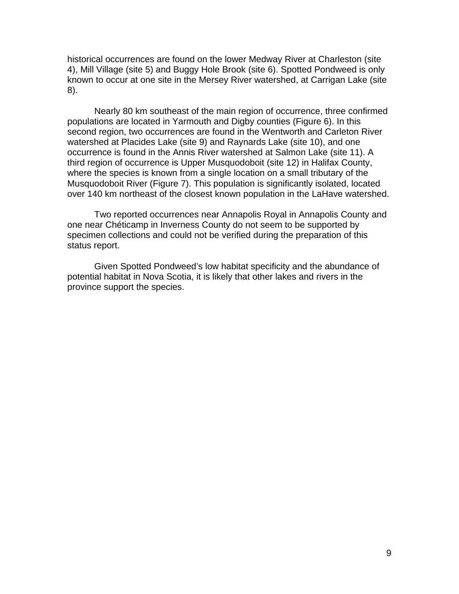historical occurrences are found on the lower Medway River at Charleston (site 4), Mill Village (site 5) and Buggy Hole Brook (site 6). Spotted Pondweed is only known to occur at one site in the Mersey River watershed, at Carrigan Lake (site 8).

Nearly 80 km southeast of the main region of occurrence, three confirmed populations are located in Yarmouth and Digby counties (Figure 6). In this second region, two occurrences are found in the Wentworth and Carleton River watershed at Placides Lake (site 9) and Raynards Lake (site 10), and one occurrence is found in the Annis River watershed at Salmon Lake (site 11). A third region of occurrence is Upper Musquodoboit (site 12) in Halifax County, where the species is known from a single location on a small tributary of the Musquodoboit River (Figure 7). This population is significantly isolated, located over 140 km northeast of the closest known population in the LaHave watershed.

Two reported occurrences near Annapolis Royal in Annapolis County and one near Chéticamp in Inverness County do not seem to be supported by specimen collections and could not be verified during the preparation of this status report.

Given Spotted Pondweed's low habitat specificity and the abundance of potential habitat in Nova Scotia, it is likely that other lakes and rivers in the province support the species.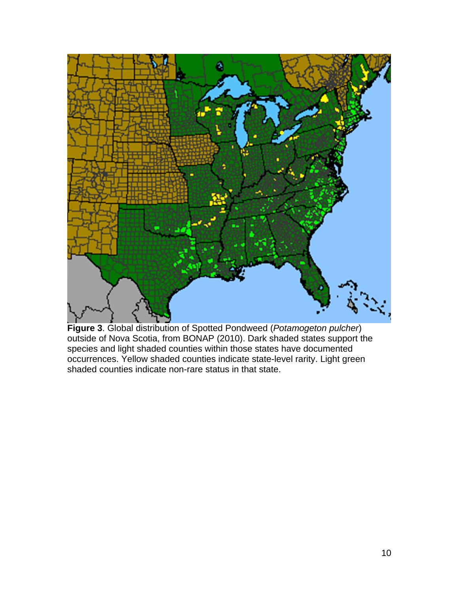

**Figure 3**. Global distribution of Spotted Pondweed (*Potamogeton pulcher*) outside of Nova Scotia, from BONAP (2010). Dark shaded states support the species and light shaded counties within those states have documented occurrences. Yellow shaded counties indicate state-level rarity. Light green shaded counties indicate non-rare status in that state.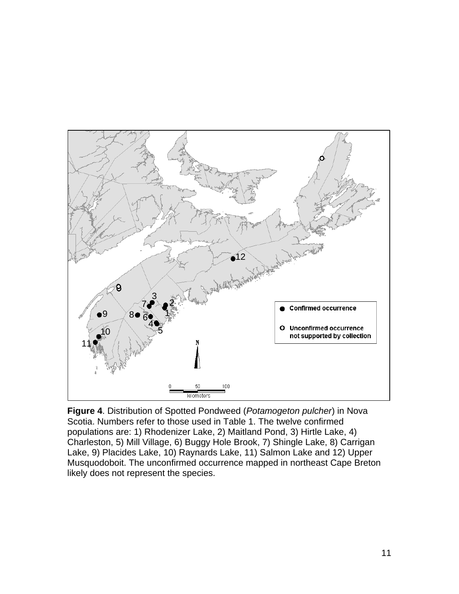

**Figure 4**. Distribution of Spotted Pondweed (*Potamogeton pulcher*) in Nova Scotia. Numbers refer to those used in Table 1. The twelve confirmed populations are: 1) Rhodenizer Lake, 2) Maitland Pond, 3) Hirtle Lake, 4) Charleston, 5) Mill Village, 6) Buggy Hole Brook, 7) Shingle Lake, 8) Carrigan Lake, 9) Placides Lake, 10) Raynards Lake, 11) Salmon Lake and 12) Upper Musquodoboit. The unconfirmed occurrence mapped in northeast Cape Breton likely does not represent the species.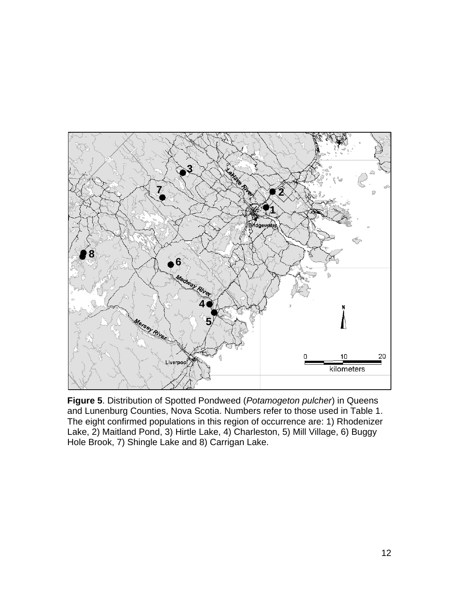

**Figure 5**. Distribution of Spotted Pondweed (*Potamogeton pulcher*) in Queens and Lunenburg Counties, Nova Scotia. Numbers refer to those used in Table 1. The eight confirmed populations in this region of occurrence are: 1) Rhodenizer Lake, 2) Maitland Pond, 3) Hirtle Lake, 4) Charleston, 5) Mill Village, 6) Buggy Hole Brook, 7) Shingle Lake and 8) Carrigan Lake.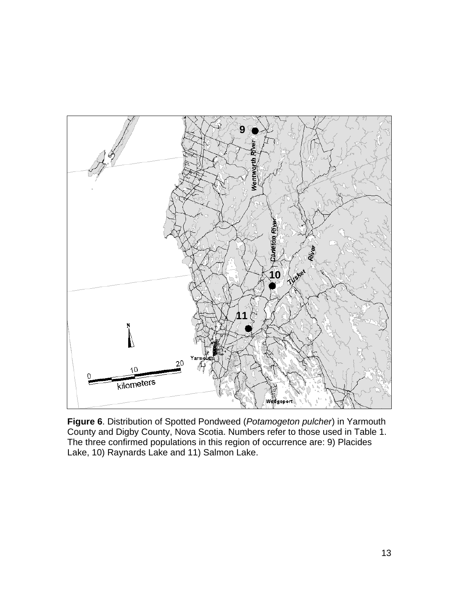

**Figure 6**. Distribution of Spotted Pondweed (*Potamogeton pulcher*) in Yarmouth County and Digby County, Nova Scotia. Numbers refer to those used in Table 1. The three confirmed populations in this region of occurrence are: 9) Placides Lake, 10) Raynards Lake and 11) Salmon Lake.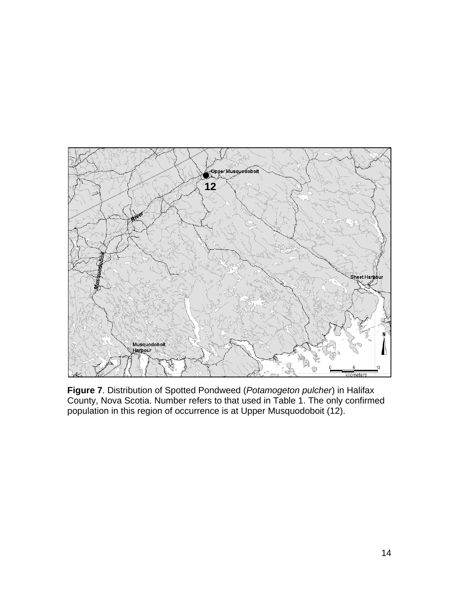

**Figure 7**. Distribution of Spotted Pondweed (*Potamogeton pulcher*) in Halifax County, Nova Scotia. Number refers to that used in Table 1. The only confirmed population in this region of occurrence is at Upper Musquodoboit (12).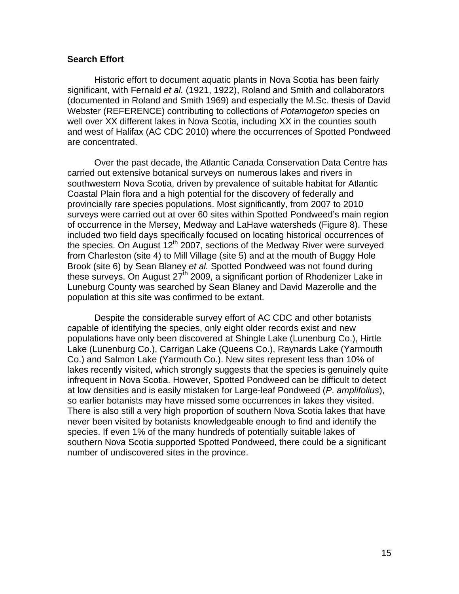#### **Search Effort**

Historic effort to document aquatic plants in Nova Scotia has been fairly significant, with Fernald *et al.* (1921, 1922), Roland and Smith and collaborators (documented in Roland and Smith 1969) and especially the M.Sc. thesis of David Webster (REFERENCE) contributing to collections of *Potamogeton* species on well over XX different lakes in Nova Scotia, including XX in the counties south and west of Halifax (AC CDC 2010) where the occurrences of Spotted Pondweed are concentrated.

Over the past decade, the Atlantic Canada Conservation Data Centre has carried out extensive botanical surveys on numerous lakes and rivers in southwestern Nova Scotia, driven by prevalence of suitable habitat for Atlantic Coastal Plain flora and a high potential for the discovery of federally and provincially rare species populations. Most significantly, from 2007 to 2010 surveys were carried out at over 60 sites within Spotted Pondweed's main region of occurrence in the Mersey, Medway and LaHave watersheds (Figure 8). These included two field days specifically focused on locating historical occurrences of the species. On August  $12<sup>th</sup> 2007$ , sections of the Medway River were surveyed from Charleston (site 4) to Mill Village (site 5) and at the mouth of Buggy Hole Brook (site 6) by Sean Blaney *et al.* Spotted Pondweed was not found during these surveys. On August  $27<sup>th</sup>$  2009, a significant portion of Rhodenizer Lake in Luneburg County was searched by Sean Blaney and David Mazerolle and the population at this site was confirmed to be extant.

Despite the considerable survey effort of AC CDC and other botanists capable of identifying the species, only eight older records exist and new populations have only been discovered at Shingle Lake (Lunenburg Co.), Hirtle Lake (Lunenburg Co.), Carrigan Lake (Queens Co.), Raynards Lake (Yarmouth Co.) and Salmon Lake (Yarmouth Co.). New sites represent less than 10% of lakes recently visited, which strongly suggests that the species is genuinely quite infrequent in Nova Scotia. However, Spotted Pondweed can be difficult to detect at low densities and is easily mistaken for Large-leaf Pondweed (*P*. *amplifolius*), so earlier botanists may have missed some occurrences in lakes they visited. There is also still a very high proportion of southern Nova Scotia lakes that have never been visited by botanists knowledgeable enough to find and identify the species. If even 1% of the many hundreds of potentially suitable lakes of southern Nova Scotia supported Spotted Pondweed, there could be a significant number of undiscovered sites in the province.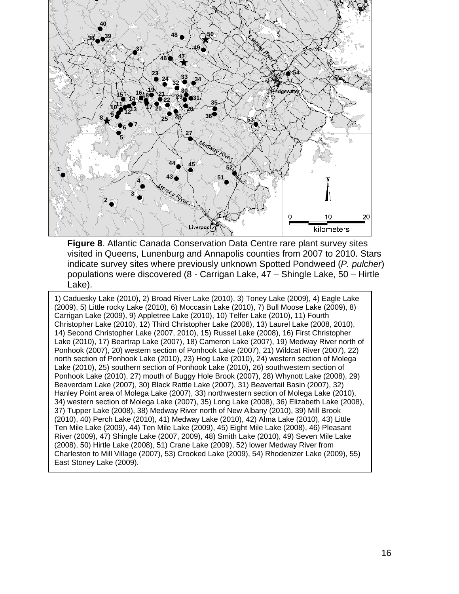

**Figure 8**. Atlantic Canada Conservation Data Centre rare plant survey sites visited in Queens, Lunenburg and Annapolis counties from 2007 to 2010. Stars indicate survey sites where previously unknown Spotted Pondweed (*P. pulcher*) populations were discovered (8 - Carrigan Lake, 47 – Shingle Lake, 50 – Hirtle Lake).

1) Caduesky Lake (2010), 2) Broad River Lake (2010), 3) Toney Lake (2009), 4) Eagle Lake (2009), 5) Little rocky Lake (2010), 6) Moccasin Lake (2010), 7) Bull Moose Lake (2009), 8) Carrigan Lake (2009), 9) Appletree Lake (2010), 10) Telfer Lake (2010), 11) Fourth Christopher Lake (2010), 12) Third Christopher Lake (2008), 13) Laurel Lake (2008, 2010), 14) Second Christopher Lake (2007, 2010), 15) Russel Lake (2008), 16) First Christopher Lake (2010), 17) Beartrap Lake (2007), 18) Cameron Lake (2007), 19) Medway River north of Ponhook (2007), 20) western section of Ponhook Lake (2007), 21) Wildcat River (2007), 22) north section of Ponhook Lake (2010), 23) Hog Lake (2010), 24) western section of Molega Lake (2010), 25) southern section of Ponhook Lake (2010), 26) southwestern section of Ponhook Lake (2010), 27) mouth of Buggy Hole Brook (2007), 28) Whynott Lake (2008), 29) Beaverdam Lake (2007), 30) Black Rattle Lake (2007), 31) Beavertail Basin (2007), 32) Hanley Point area of Molega Lake (2007), 33) northwestern section of Molega Lake (2010), 34) western section of Molega Lake (2007), 35) Long Lake (2008), 36) Elizabeth Lake (2008), 37) Tupper Lake (2008), 38) Medway River north of New Albany (2010), 39) Mill Brook (2010), 40) Perch Lake (2010), 41) Medway Lake (2010), 42) Alma Lake (2010), 43) Little Ten Mile Lake (2009), 44) Ten Mile Lake (2009), 45) Eight Mile Lake (2008), 46) Pleasant River (2009), 47) Shingle Lake (2007, 2009), 48) Smith Lake (2010), 49) Seven Mile Lake (2008), 50) Hirtle Lake (2008), 51) Crane Lake (2009), 52) lower Medway River from Charleston to Mill Village (2007), 53) Crooked Lake (2009), 54) Rhodenizer Lake (2009), 55) East Stoney Lake (2009).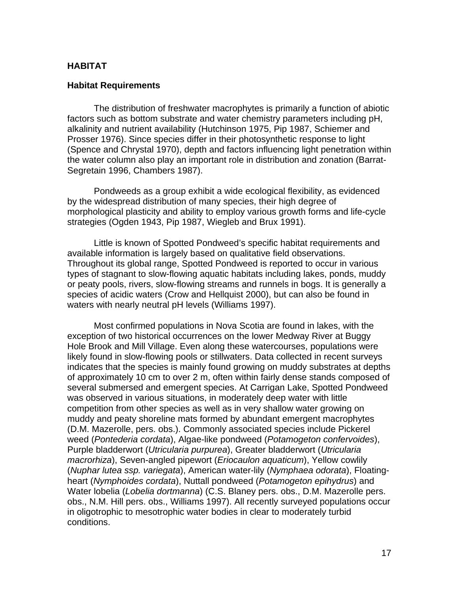#### **HABITAT**

#### **Habitat Requirements**

The distribution of freshwater macrophytes is primarily a function of abiotic factors such as bottom substrate and water chemistry parameters including pH, alkalinity and nutrient availability (Hutchinson 1975, Pip 1987, Schiemer and Prosser 1976). Since species differ in their photosynthetic response to light (Spence and Chrystal 1970), depth and factors influencing light penetration within the water column also play an important role in distribution and zonation (Barrat-Segretain 1996, Chambers 1987).

Pondweeds as a group exhibit a wide ecological flexibility, as evidenced by the widespread distribution of many species, their high degree of morphological plasticity and ability to employ various growth forms and life-cycle strategies (Ogden 1943, Pip 1987, Wiegleb and Brux 1991).

Little is known of Spotted Pondweed's specific habitat requirements and available information is largely based on qualitative field observations. Throughout its global range, Spotted Pondweed is reported to occur in various types of stagnant to slow-flowing aquatic habitats including lakes, ponds, muddy or peaty pools, rivers, slow-flowing streams and runnels in bogs. It is generally a species of acidic waters (Crow and Hellquist 2000), but can also be found in waters with nearly neutral pH levels (Williams 1997).

Most confirmed populations in Nova Scotia are found in lakes, with the exception of two historical occurrences on the lower Medway River at Buggy Hole Brook and Mill Village. Even along these watercourses, populations were likely found in slow-flowing pools or stillwaters. Data collected in recent surveys indicates that the species is mainly found growing on muddy substrates at depths of approximately 10 cm to over 2 m, often within fairly dense stands composed of several submersed and emergent species. At Carrigan Lake, Spotted Pondweed was observed in various situations, in moderately deep water with little competition from other species as well as in very shallow water growing on muddy and peaty shoreline mats formed by abundant emergent macrophytes (D.M. Mazerolle, pers. obs.). Commonly associated species include Pickerel weed (*Pontederia cordata*), Algae-like pondweed (*Potamogeton confervoides*), Purple bladderwort (*Utricularia purpurea*), Greater bladderwort (*Utricularia macrorhiza*), Seven-angled pipewort (*Eriocaulon aquaticum*), Yellow cowlily (*Nuphar lutea ssp. variegata*), American water-lily (*Nymphaea odorata*), Floatingheart (*Nymphoides cordata*), Nuttall pondweed (*Potamogeton epihydrus*) and Water lobelia (*Lobelia dortmanna*) (C.S. Blaney pers. obs., D.M. Mazerolle pers. obs., N.M. Hill pers. obs., Williams 1997). All recently surveyed populations occur in oligotrophic to mesotrophic water bodies in clear to moderately turbid conditions.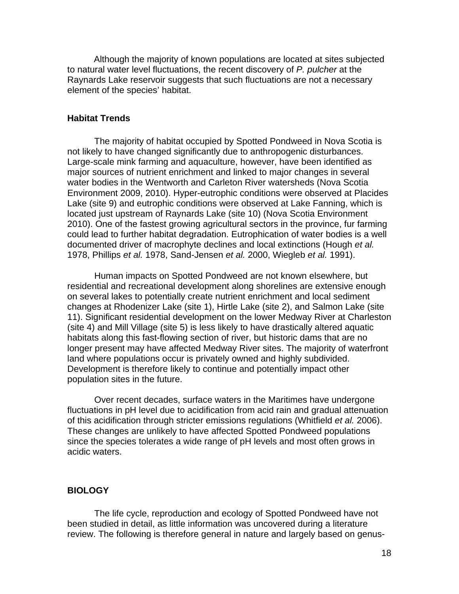Although the majority of known populations are located at sites subjected to natural water level fluctuations, the recent discovery of *P. pulcher* at the Raynards Lake reservoir suggests that such fluctuations are not a necessary element of the species' habitat.

#### **Habitat Trends**

The majority of habitat occupied by Spotted Pondweed in Nova Scotia is not likely to have changed significantly due to anthropogenic disturbances. Large-scale mink farming and aquaculture, however, have been identified as major sources of nutrient enrichment and linked to major changes in several water bodies in the Wentworth and Carleton River watersheds (Nova Scotia Environment 2009, 2010). Hyper-eutrophic conditions were observed at Placides Lake (site 9) and eutrophic conditions were observed at Lake Fanning, which is located just upstream of Raynards Lake (site 10) (Nova Scotia Environment 2010). One of the fastest growing agricultural sectors in the province, fur farming could lead to further habitat degradation. Eutrophication of water bodies is a well documented driver of macrophyte declines and local extinctions (Hough *et al.*  1978, Phillips *et al.* 1978, Sand-Jensen *et al.* 2000, Wiegleb *et al.* 1991).

Human impacts on Spotted Pondweed are not known elsewhere, but residential and recreational development along shorelines are extensive enough on several lakes to potentially create nutrient enrichment and local sediment changes at Rhodenizer Lake (site 1), Hirtle Lake (site 2), and Salmon Lake (site 11). Significant residential development on the lower Medway River at Charleston (site 4) and Mill Village (site 5) is less likely to have drastically altered aquatic habitats along this fast-flowing section of river, but historic dams that are no longer present may have affected Medway River sites. The majority of waterfront land where populations occur is privately owned and highly subdivided. Development is therefore likely to continue and potentially impact other population sites in the future.

Over recent decades, surface waters in the Maritimes have undergone fluctuations in pH level due to acidification from acid rain and gradual attenuation of this acidification through stricter emissions regulations (Whitfield *et al.* 2006). These changes are unlikely to have affected Spotted Pondweed populations since the species tolerates a wide range of pH levels and most often grows in acidic waters.

#### **BIOLOGY**

The life cycle, reproduction and ecology of Spotted Pondweed have not been studied in detail, as little information was uncovered during a literature review. The following is therefore general in nature and largely based on genus-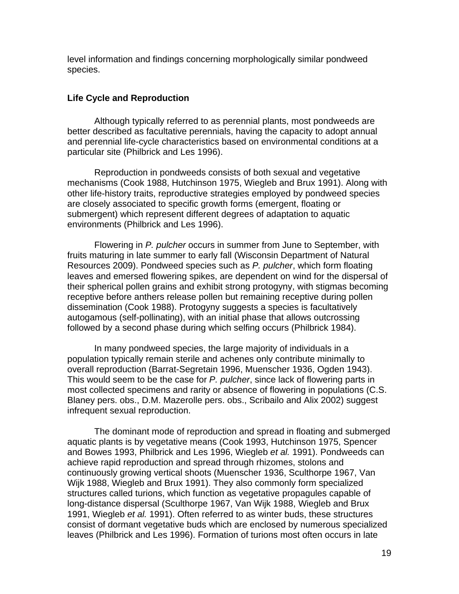level information and findings concerning morphologically similar pondweed species.

## **Life Cycle and Reproduction**

Although typically referred to as perennial plants, most pondweeds are better described as facultative perennials, having the capacity to adopt annual and perennial life-cycle characteristics based on environmental conditions at a particular site (Philbrick and Les 1996).

Reproduction in pondweeds consists of both sexual and vegetative mechanisms (Cook 1988, Hutchinson 1975, Wiegleb and Brux 1991). Along with other life-history traits, reproductive strategies employed by pondweed species are closely associated to specific growth forms (emergent, floating or submergent) which represent different degrees of adaptation to aquatic environments (Philbrick and Les 1996).

Flowering in *P. pulcher* occurs in summer from June to September, with fruits maturing in late summer to early fall (Wisconsin Department of Natural Resources 2009). Pondweed species such as *P. pulcher*, which form floating leaves and emersed flowering spikes, are dependent on wind for the dispersal of their spherical pollen grains and exhibit strong protogyny, with stigmas becoming receptive before anthers release pollen but remaining receptive during pollen dissemination (Cook 1988). Protogyny suggests a species is facultatively autogamous (self-pollinating), with an initial phase that allows outcrossing followed by a second phase during which selfing occurs (Philbrick 1984).

In many pondweed species, the large majority of individuals in a population typically remain sterile and achenes only contribute minimally to overall reproduction (Barrat-Segretain 1996, Muenscher 1936, Ogden 1943). This would seem to be the case for *P. pulcher*, since lack of flowering parts in most collected specimens and rarity or absence of flowering in populations (C.S. Blaney pers. obs., D.M. Mazerolle pers. obs., Scribailo and Alix 2002) suggest infrequent sexual reproduction.

The dominant mode of reproduction and spread in floating and submerged aquatic plants is by vegetative means (Cook 1993, Hutchinson 1975, Spencer and Bowes 1993, Philbrick and Les 1996, Wiegleb *et al.* 1991). Pondweeds can achieve rapid reproduction and spread through rhizomes, stolons and continuously growing vertical shoots (Muenscher 1936, Sculthorpe 1967, Van Wijk 1988, Wiegleb and Brux 1991). They also commonly form specialized structures called turions, which function as vegetative propagules capable of long-distance dispersal (Sculthorpe 1967, Van Wijk 1988, Wiegleb and Brux 1991, Wiegleb *et al.* 1991). Often referred to as winter buds, these structures consist of dormant vegetative buds which are enclosed by numerous specialized leaves (Philbrick and Les 1996). Formation of turions most often occurs in late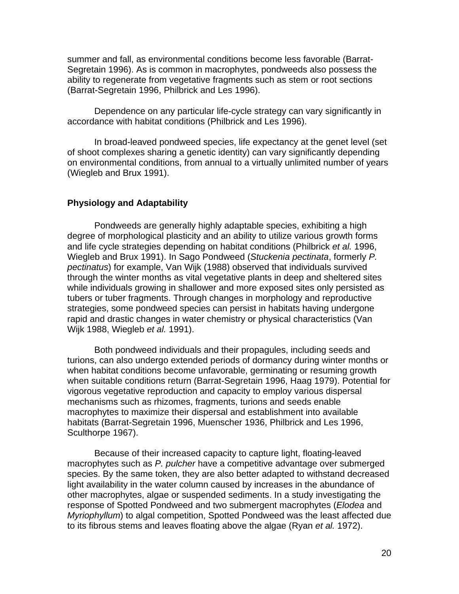summer and fall, as environmental conditions become less favorable (Barrat-Segretain 1996). As is common in macrophytes, pondweeds also possess the ability to regenerate from vegetative fragments such as stem or root sections (Barrat-Segretain 1996, Philbrick and Les 1996).

Dependence on any particular life-cycle strategy can vary significantly in accordance with habitat conditions (Philbrick and Les 1996).

In broad-leaved pondweed species, life expectancy at the genet level (set of shoot complexes sharing a genetic identity) can vary significantly depending on environmental conditions, from annual to a virtually unlimited number of years (Wiegleb and Brux 1991).

## **Physiology and Adaptability**

Pondweeds are generally highly adaptable species, exhibiting a high degree of morphological plasticity and an ability to utilize various growth forms and life cycle strategies depending on habitat conditions (Philbrick *et al.* 1996, Wiegleb and Brux 1991). In Sago Pondweed (*Stuckenia pectinata*, formerly *P. pectinatus*) for example, Van Wijk (1988) observed that individuals survived through the winter months as vital vegetative plants in deep and sheltered sites while individuals growing in shallower and more exposed sites only persisted as tubers or tuber fragments. Through changes in morphology and reproductive strategies, some pondweed species can persist in habitats having undergone rapid and drastic changes in water chemistry or physical characteristics (Van Wijk 1988, Wiegleb *et al.* 1991).

Both pondweed individuals and their propagules, including seeds and turions, can also undergo extended periods of dormancy during winter months or when habitat conditions become unfavorable, germinating or resuming growth when suitable conditions return (Barrat-Segretain 1996, Haag 1979). Potential for vigorous vegetative reproduction and capacity to employ various dispersal mechanisms such as rhizomes, fragments, turions and seeds enable macrophytes to maximize their dispersal and establishment into available habitats (Barrat-Segretain 1996, Muenscher 1936, Philbrick and Les 1996, Sculthorpe 1967).

Because of their increased capacity to capture light, floating-leaved macrophytes such as *P. pulcher* have a competitive advantage over submerged species. By the same token, they are also better adapted to withstand decreased light availability in the water column caused by increases in the abundance of other macrophytes, algae or suspended sediments. In a study investigating the response of Spotted Pondweed and two submergent macrophytes (*Elodea* and *Myriophyllum*) to algal competition, Spotted Pondweed was the least affected due to its fibrous stems and leaves floating above the algae (Ryan *et al.* 1972).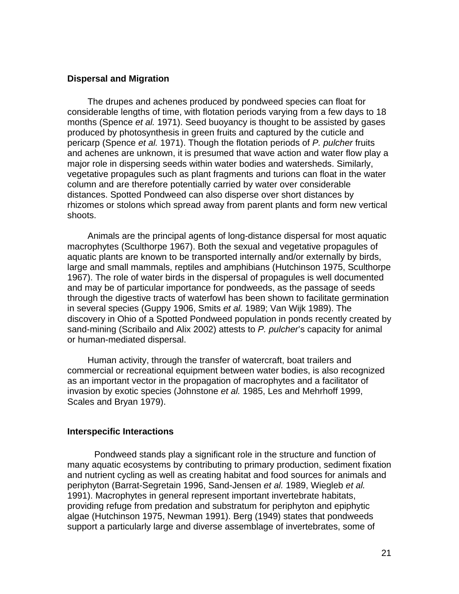#### **Dispersal and Migration**

The drupes and achenes produced by pondweed species can float for considerable lengths of time, with flotation periods varying from a few days to 18 months (Spence *et al.* 1971). Seed buoyancy is thought to be assisted by gases produced by photosynthesis in green fruits and captured by the cuticle and pericarp (Spence *et al.* 1971). Though the flotation periods of *P. pulcher* fruits and achenes are unknown, it is presumed that wave action and water flow play a major role in dispersing seeds within water bodies and watersheds. Similarly, vegetative propagules such as plant fragments and turions can float in the water column and are therefore potentially carried by water over considerable distances. Spotted Pondweed can also disperse over short distances by rhizomes or stolons which spread away from parent plants and form new vertical shoots.

Animals are the principal agents of long-distance dispersal for most aquatic macrophytes (Sculthorpe 1967). Both the sexual and vegetative propagules of aquatic plants are known to be transported internally and/or externally by birds, large and small mammals, reptiles and amphibians (Hutchinson 1975, Sculthorpe 1967). The role of water birds in the dispersal of propagules is well documented and may be of particular importance for pondweeds, as the passage of seeds through the digestive tracts of waterfowl has been shown to facilitate germination in several species (Guppy 1906, Smits *et al.* 1989; Van Wijk 1989). The discovery in Ohio of a Spotted Pondweed population in ponds recently created by sand-mining (Scribailo and Alix 2002) attests to *P. pulcher*'s capacity for animal or human-mediated dispersal.

Human activity, through the transfer of watercraft, boat trailers and commercial or recreational equipment between water bodies, is also recognized as an important vector in the propagation of macrophytes and a facilitator of invasion by exotic species (Johnstone *et al.* 1985, Les and Mehrhoff 1999, Scales and Bryan 1979).

#### **Interspecific Interactions**

Pondweed stands play a significant role in the structure and function of many aquatic ecosystems by contributing to primary production, sediment fixation and nutrient cycling as well as creating habitat and food sources for animals and periphyton (Barrat-Segretain 1996, Sand-Jensen *et al.* 1989, Wiegleb *et al.*  1991). Macrophytes in general represent important invertebrate habitats, providing refuge from predation and substratum for periphyton and epiphytic algae (Hutchinson 1975, Newman 1991). Berg (1949) states that pondweeds support a particularly large and diverse assemblage of invertebrates, some of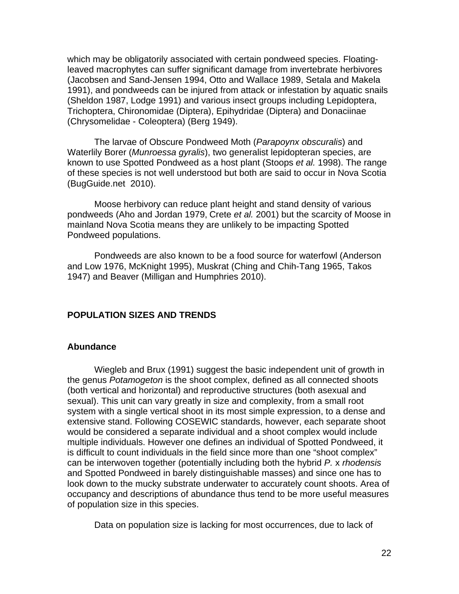which may be obligatorily associated with certain pondweed species. Floatingleaved macrophytes can suffer significant damage from invertebrate herbivores (Jacobsen and Sand-Jensen 1994, Otto and Wallace 1989, Setala and Makela 1991), and pondweeds can be injured from attack or infestation by aquatic snails (Sheldon 1987, Lodge 1991) and various insect groups including Lepidoptera, Trichoptera, Chironomidae (Diptera), Epihydridae (Diptera) and Donaciinae (Chrysomelidae - Coleoptera) (Berg 1949).

The larvae of Obscure Pondweed Moth (*Parapoynx obscuralis*) and Waterlily Borer (*Munroessa gyralis*), two generalist lepidopteran species, are known to use Spotted Pondweed as a host plant (Stoops *et al.* 1998). The range of these species is not well understood but both are said to occur in Nova Scotia (BugGuide.net 2010).

Moose herbivory can reduce plant height and stand density of various pondweeds (Aho and Jordan 1979, Crete *et al.* 2001) but the scarcity of Moose in mainland Nova Scotia means they are unlikely to be impacting Spotted Pondweed populations.

Pondweeds are also known to be a food source for waterfowl (Anderson and Low 1976, McKnight 1995), Muskrat (Ching and Chih-Tang 1965, Takos 1947) and Beaver (Milligan and Humphries 2010).

## **POPULATION SIZES AND TRENDS**

#### **Abundance**

Wiegleb and Brux (1991) suggest the basic independent unit of growth in the genus *Potamogeton* is the shoot complex, defined as all connected shoots (both vertical and horizontal) and reproductive structures (both asexual and sexual). This unit can vary greatly in size and complexity, from a small root system with a single vertical shoot in its most simple expression, to a dense and extensive stand. Following COSEWIC standards, however, each separate shoot would be considered a separate individual and a shoot complex would include multiple individuals. However one defines an individual of Spotted Pondweed, it is difficult to count individuals in the field since more than one "shoot complex" can be interwoven together (potentially including both the hybrid *P.* x *rhodensis* and Spotted Pondweed in barely distinguishable masses) and since one has to look down to the mucky substrate underwater to accurately count shoots. Area of occupancy and descriptions of abundance thus tend to be more useful measures of population size in this species.

Data on population size is lacking for most occurrences, due to lack of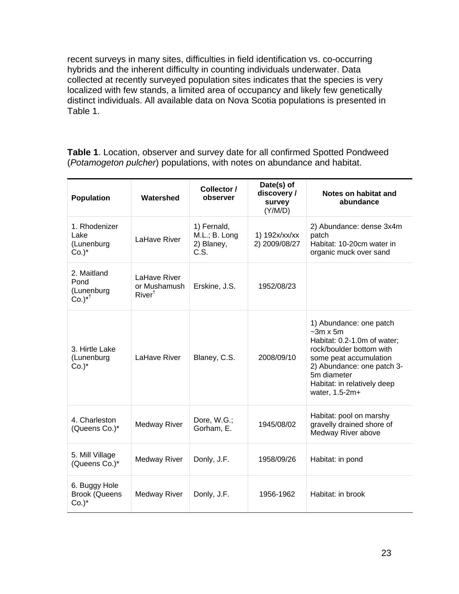recent surveys in many sites, difficulties in field identification vs. co-occurring hybrids and the inherent difficulty in counting individuals underwater. Data collected at recently surveyed population sites indicates that the species is very localized with few stands, a limited area of occupancy and likely few genetically distinct individuals. All available data on Nova Scotia populations is presented in Table 1.

**Table 1**. Location, observer and survey date for all confirmed Spotted Pondweed (*Potamogeton pulcher*) populations, with notes on abundance and habitat.

| <b>Population</b>                                        | Watershed                                         | Collector /<br>observer                            | Date(s) of<br>discovery/<br>survey<br>(Y/M/D) | Notes on habitat and<br>abundance                                                                                                                                                                                            |
|----------------------------------------------------------|---------------------------------------------------|----------------------------------------------------|-----------------------------------------------|------------------------------------------------------------------------------------------------------------------------------------------------------------------------------------------------------------------------------|
| 1. Rhodenizer<br>Lake<br>(Lunenburg<br>$Co.$ )*          | LaHave River                                      | 1) Fernald,<br>M.L.; B. Long<br>2) Blaney,<br>C.S. | 1) 192x/xx/xx<br>2) 2009/08/27                | 2) Abundance: dense 3x4m<br>patch<br>Habitat: 10-20cm water in<br>organic muck over sand                                                                                                                                     |
| 2. Maitland<br>Pond<br>(Lunenburg<br>$Co.$ <sup>*†</sup> | LaHave River<br>or Mushamush<br>$River^{\dagger}$ | Erskine, J.S.                                      | 1952/08/23                                    |                                                                                                                                                                                                                              |
| 3. Hirtle Lake<br>(Lunenburg<br>$Co.$ )*                 | LaHave River                                      | Blaney, C.S.                                       | 2008/09/10                                    | 1) Abundance: one patch<br>$\sim$ 3m x 5m<br>Habitat: 0.2-1.0m of water;<br>rock/boulder bottom with<br>some peat accumulation<br>2) Abundance: one patch 3-<br>5m diameter<br>Habitat: in relatively deep<br>water, 1.5-2m+ |
| 4. Charleston<br>(Queens Co.)*                           | Medway River                                      | Dore, W.G.;<br>Gorham, E.                          | 1945/08/02                                    | Habitat: pool on marshy<br>gravelly drained shore of<br>Medway River above                                                                                                                                                   |
| 5. Mill Village<br>(Queens Co.)*                         | <b>Medway River</b>                               | Donly, J.F.                                        | 1958/09/26                                    | Habitat: in pond                                                                                                                                                                                                             |
| 6. Buggy Hole<br><b>Brook (Queens</b><br>$Co.$ )*        | <b>Medway River</b>                               | Donly, J.F.                                        | 1956-1962                                     | Habitat: in brook                                                                                                                                                                                                            |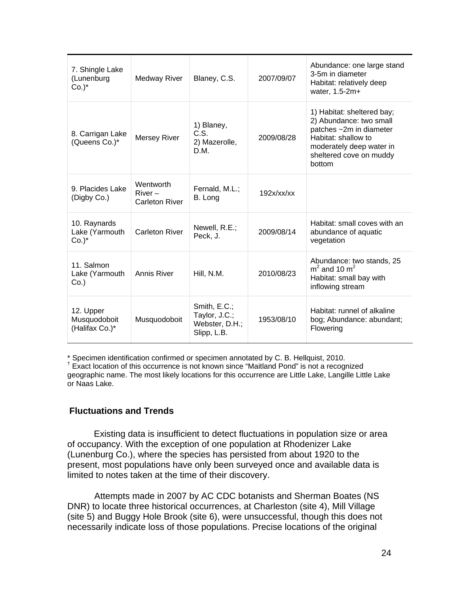| 7. Shingle Lake<br>(Lunenburg<br>$Co.$ )*   | <b>Medway River</b>                      | Blaney, C.S.                                                   | 2007/09/07 | Abundance: one large stand<br>3-5m in diameter<br>Habitat: relatively deep<br>water, 1.5-2m+                                                                             |
|---------------------------------------------|------------------------------------------|----------------------------------------------------------------|------------|--------------------------------------------------------------------------------------------------------------------------------------------------------------------------|
| 8. Carrigan Lake<br>(Queens Co.)*           | Mersey River                             | 1) Blaney,<br>C.S.<br>2) Mazerolle,<br>D.M.                    | 2009/08/28 | 1) Habitat: sheltered bay;<br>2) Abundance: two small<br>patches ~2m in diameter<br>Habitat: shallow to<br>moderately deep water in<br>sheltered cove on muddy<br>bottom |
| 9. Placides Lake<br>(Digby Co.)             | Wentworth<br>$River -$<br>Carleton River | Fernald, M.L.;<br>B. Long                                      | 192x/xx/xx |                                                                                                                                                                          |
| 10. Raynards<br>Lake (Yarmouth<br>$Co.$ )*  | <b>Carleton River</b>                    | Newell, R.E.;<br>Peck, J.                                      | 2009/08/14 | Habitat: small coves with an<br>abundance of aquatic<br>vegetation                                                                                                       |
| 11. Salmon<br>Lake (Yarmouth<br>$Co.$ )     | Annis River                              | Hill, N.M.                                                     | 2010/08/23 | Abundance: two stands, 25<br>$m2$ and 10 m <sup>2</sup><br>Habitat: small bay with<br>inflowing stream                                                                   |
| 12. Upper<br>Musquodoboit<br>(Halifax Co.)* | Musquodoboit                             | Smith, E.C.;<br>Taylor, J.C.;<br>Webster, D.H.;<br>Slipp, L.B. | 1953/08/10 | Habitat: runnel of alkaline<br>bog; Abundance: abundant;<br>Flowering                                                                                                    |

\* Specimen identification confirmed or specimen annotated by C. B. Hellquist, 2010. †

<sup>†</sup> Exact location of this occurrence is not known since "Maitland Pond" is not a recognized geographic name. The most likely locations for this occurrence are Little Lake, Langille Little Lake or Naas Lake.

## **Fluctuations and Trends**

Existing data is insufficient to detect fluctuations in population size or area of occupancy. With the exception of one population at Rhodenizer Lake (Lunenburg Co.), where the species has persisted from about 1920 to the present, most populations have only been surveyed once and available data is limited to notes taken at the time of their discovery.

 Attempts made in 2007 by AC CDC botanists and Sherman Boates (NS DNR) to locate three historical occurrences, at Charleston (site 4), Mill Village (site 5) and Buggy Hole Brook (site 6), were unsuccessful, though this does not necessarily indicate loss of those populations. Precise locations of the original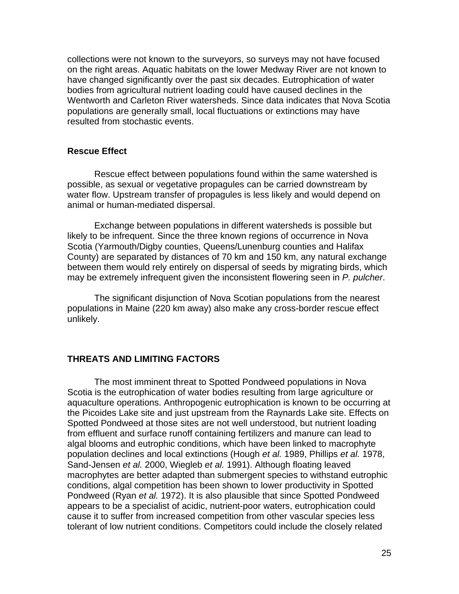collections were not known to the surveyors, so surveys may not have focused on the right areas. Aquatic habitats on the lower Medway River are not known to have changed significantly over the past six decades. Eutrophication of water bodies from agricultural nutrient loading could have caused declines in the Wentworth and Carleton River watersheds. Since data indicates that Nova Scotia populations are generally small, local fluctuations or extinctions may have resulted from stochastic events.

#### **Rescue Effect**

 Rescue effect between populations found within the same watershed is possible, as sexual or vegetative propagules can be carried downstream by water flow. Upstream transfer of propagules is less likely and would depend on animal or human-mediated dispersal.

 Exchange between populations in different watersheds is possible but likely to be infrequent. Since the three known regions of occurrence in Nova Scotia (Yarmouth/Digby counties, Queens/Lunenburg counties and Halifax County) are separated by distances of 70 km and 150 km, any natural exchange between them would rely entirely on dispersal of seeds by migrating birds, which may be extremely infrequent given the inconsistent flowering seen in *P. pulcher*.

 The significant disjunction of Nova Scotian populations from the nearest populations in Maine (220 km away) also make any cross-border rescue effect unlikely.

#### **THREATS AND LIMITING FACTORS**

The most imminent threat to Spotted Pondweed populations in Nova Scotia is the eutrophication of water bodies resulting from large agriculture or aquaculture operations. Anthropogenic eutrophication is known to be occurring at the Picoides Lake site and just upstream from the Raynards Lake site. Effects on Spotted Pondweed at those sites are not well understood, but nutrient loading from effluent and surface runoff containing fertilizers and manure can lead to algal blooms and eutrophic conditions, which have been linked to macrophyte population declines and local extinctions (Hough *et al.* 1989, Phillips *et al.* 1978, Sand-Jensen *et al.* 2000, Wiegleb *et al.* 1991). Although floating leaved macrophytes are better adapted than submergent species to withstand eutrophic conditions, algal competition has been shown to lower productivity in Spotted Pondweed (Ryan *et al.* 1972). It is also plausible that since Spotted Pondweed appears to be a specialist of acidic, nutrient-poor waters, eutrophication could cause it to suffer from increased competition from other vascular species less tolerant of low nutrient conditions. Competitors could include the closely related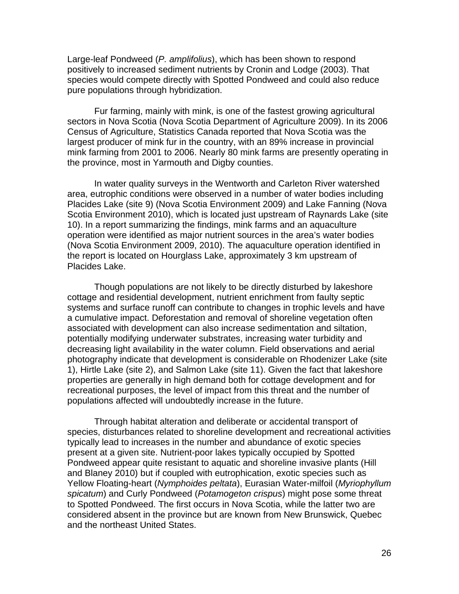Large-leaf Pondweed (*P. amplifolius*), which has been shown to respond positively to increased sediment nutrients by Cronin and Lodge (2003). That species would compete directly with Spotted Pondweed and could also reduce pure populations through hybridization.

Fur farming, mainly with mink, is one of the fastest growing agricultural sectors in Nova Scotia (Nova Scotia Department of Agriculture 2009). In its 2006 Census of Agriculture, Statistics Canada reported that Nova Scotia was the largest producer of mink fur in the country, with an 89% increase in provincial mink farming from 2001 to 2006. Nearly 80 mink farms are presently operating in the province, most in Yarmouth and Digby counties.

In water quality surveys in the Wentworth and Carleton River watershed area, eutrophic conditions were observed in a number of water bodies including Placides Lake (site 9) (Nova Scotia Environment 2009) and Lake Fanning (Nova Scotia Environment 2010), which is located just upstream of Raynards Lake (site 10). In a report summarizing the findings, mink farms and an aquaculture operation were identified as major nutrient sources in the area's water bodies (Nova Scotia Environment 2009, 2010). The aquaculture operation identified in the report is located on Hourglass Lake, approximately 3 km upstream of Placides Lake.

 Though populations are not likely to be directly disturbed by lakeshore cottage and residential development, nutrient enrichment from faulty septic systems and surface runoff can contribute to changes in trophic levels and have a cumulative impact. Deforestation and removal of shoreline vegetation often associated with development can also increase sedimentation and siltation, potentially modifying underwater substrates, increasing water turbidity and decreasing light availability in the water column. Field observations and aerial photography indicate that development is considerable on Rhodenizer Lake (site 1), Hirtle Lake (site 2), and Salmon Lake (site 11). Given the fact that lakeshore properties are generally in high demand both for cottage development and for recreational purposes, the level of impact from this threat and the number of populations affected will undoubtedly increase in the future.

Through habitat alteration and deliberate or accidental transport of species, disturbances related to shoreline development and recreational activities typically lead to increases in the number and abundance of exotic species present at a given site. Nutrient-poor lakes typically occupied by Spotted Pondweed appear quite resistant to aquatic and shoreline invasive plants (Hill and Blaney 2010) but if coupled with eutrophication, exotic species such as Yellow Floating-heart (*Nymphoides peltata*), Eurasian Water-milfoil (*Myriophyllum spicatum*) and Curly Pondweed (*Potamogeton crispus*) might pose some threat to Spotted Pondweed. The first occurs in Nova Scotia, while the latter two are considered absent in the province but are known from New Brunswick, Quebec and the northeast United States.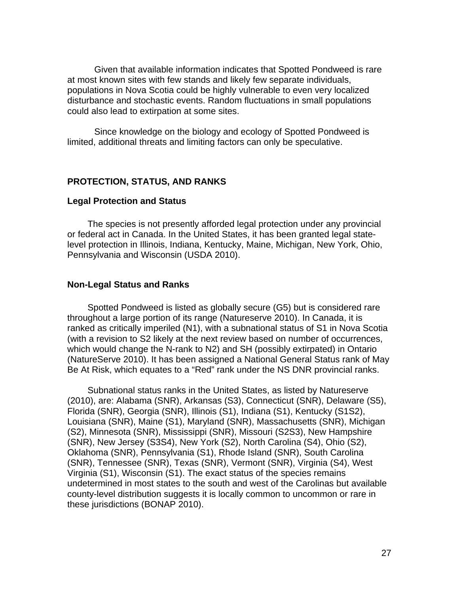Given that available information indicates that Spotted Pondweed is rare at most known sites with few stands and likely few separate individuals, populations in Nova Scotia could be highly vulnerable to even very localized disturbance and stochastic events. Random fluctuations in small populations could also lead to extirpation at some sites.

Since knowledge on the biology and ecology of Spotted Pondweed is limited, additional threats and limiting factors can only be speculative.

## **PROTECTION, STATUS, AND RANKS**

#### **Legal Protection and Status**

The species is not presently afforded legal protection under any provincial or federal act in Canada. In the United States, it has been granted legal statelevel protection in Illinois, Indiana, Kentucky, Maine, Michigan, New York, Ohio, Pennsylvania and Wisconsin (USDA 2010).

#### **Non-Legal Status and Ranks**

Spotted Pondweed is listed as globally secure (G5) but is considered rare throughout a large portion of its range (Natureserve 2010). In Canada, it is ranked as critically imperiled (N1), with a subnational status of S1 in Nova Scotia (with a revision to S2 likely at the next review based on number of occurrences, which would change the N-rank to N2) and SH (possibly extirpated) in Ontario (NatureServe 2010). It has been assigned a National General Status rank of May Be At Risk, which equates to a "Red" rank under the NS DNR provincial ranks.

Subnational status ranks in the United States, as listed by Natureserve (2010), are: Alabama (SNR), Arkansas (S3), Connecticut (SNR), Delaware (S5), Florida (SNR), Georgia (SNR), Illinois (S1), Indiana (S1), Kentucky (S1S2), Louisiana (SNR), Maine (S1), Maryland (SNR), Massachusetts (SNR), Michigan (S2), Minnesota (SNR), Mississippi (SNR), Missouri (S2S3), New Hampshire (SNR), New Jersey (S3S4), New York (S2), North Carolina (S4), Ohio (S2), Oklahoma (SNR), Pennsylvania (S1), Rhode Island (SNR), South Carolina (SNR), Tennessee (SNR), Texas (SNR), Vermont (SNR), Virginia (S4), West Virginia (S1), Wisconsin (S1). The exact status of the species remains undetermined in most states to the south and west of the Carolinas but available county-level distribution suggests it is locally common to uncommon or rare in these jurisdictions (BONAP 2010).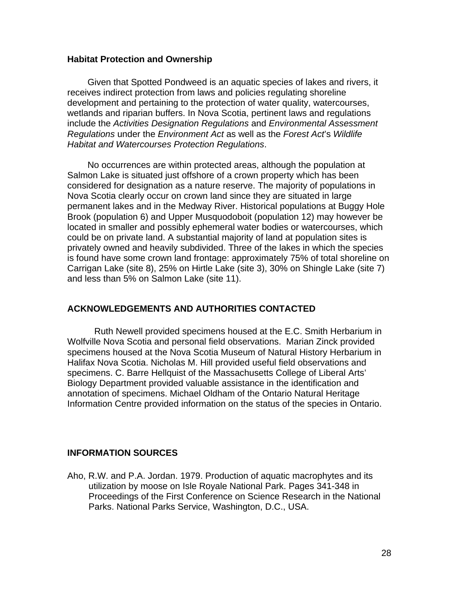#### **Habitat Protection and Ownership**

Given that Spotted Pondweed is an aquatic species of lakes and rivers, it receives indirect protection from laws and policies regulating shoreline development and pertaining to the protection of water quality, watercourses, wetlands and riparian buffers. In Nova Scotia, pertinent laws and regulations include the *Activities Designation Regulations* and *Environmental Assessment Regulations* under the *Environment Act* as well as the *Forest Act*'s *Wildlife Habitat and Watercourses Protection Regulations*.

No occurrences are within protected areas, although the population at Salmon Lake is situated just offshore of a crown property which has been considered for designation as a nature reserve. The majority of populations in Nova Scotia clearly occur on crown land since they are situated in large permanent lakes and in the Medway River. Historical populations at Buggy Hole Brook (population 6) and Upper Musquodoboit (population 12) may however be located in smaller and possibly ephemeral water bodies or watercourses, which could be on private land. A substantial majority of land at population sites is privately owned and heavily subdivided. Three of the lakes in which the species is found have some crown land frontage: approximately 75% of total shoreline on Carrigan Lake (site 8), 25% on Hirtle Lake (site 3), 30% on Shingle Lake (site 7) and less than 5% on Salmon Lake (site 11).

## **ACKNOWLEDGEMENTS AND AUTHORITIES CONTACTED**

Ruth Newell provided specimens housed at the E.C. Smith Herbarium in Wolfville Nova Scotia and personal field observations. Marian Zinck provided specimens housed at the Nova Scotia Museum of Natural History Herbarium in Halifax Nova Scotia. Nicholas M. Hill provided useful field observations and specimens. C. Barre Hellquist of the Massachusetts College of Liberal Arts' Biology Department provided valuable assistance in the identification and annotation of specimens. Michael Oldham of the Ontario Natural Heritage Information Centre provided information on the status of the species in Ontario.

## **INFORMATION SOURCES**

Aho, R.W. and P.A. Jordan. 1979. Production of aquatic macrophytes and its utilization by moose on Isle Royale National Park. Pages 341-348 in Proceedings of the First Conference on Science Research in the National Parks. National Parks Service, Washington, D.C., USA.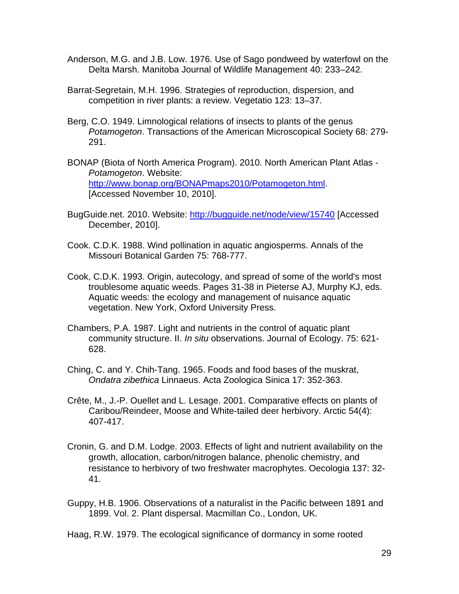- Anderson, M.G. and J.B. Low. 1976. Use of Sago pondweed by waterfowl on the Delta Marsh. Manitoba Journal of Wildlife Management 40: 233–242.
- Barrat-Segretain, M.H. 1996. Strategies of reproduction, dispersion, and competition in river plants: a review. Vegetatio 123: 13–37.
- Berg, C.O. 1949. Limnological relations of insects to plants of the genus *Potamogeton*. Transactions of the American Microscopical Society 68: 279- 291.
- BONAP (Biota of North America Program). 2010. North American Plant Atlas *Potamogeton*. Website: http://www.bonap.org/BONAPmaps2010/Potamogeton.html. [Accessed November 10, 2010].
- BugGuide.net. 2010. Website: http://bugguide.net/node/view/15740 [Accessed December, 2010].
- Cook. C.D.K. 1988. Wind pollination in aquatic angiosperms. Annals of the Missouri Botanical Garden 75: 768-777.
- Cook, C.D.K. 1993. Origin, autecology, and spread of some of the world's most troublesome aquatic weeds. Pages 31-38 in Pieterse AJ, Murphy KJ, eds. Aquatic weeds: the ecology and management of nuisance aquatic vegetation. New York, Oxford University Press.
- Chambers, P.A. 1987. Light and nutrients in the control of aquatic plant community structure. II. *In situ* observations. Journal of Ecology. 75: 621- 628.
- Ching, C. and Y. Chih-Tang. 1965. Foods and food bases of the muskrat, *Ondatra zibethica* Linnaeus. Acta Zoologica Sinica 17: 352-363.
- Crête, M., J.-P. Ouellet and L. Lesage. 2001. Comparative effects on plants of Caribou/Reindeer, Moose and White-tailed deer herbivory. Arctic 54(4): 407-417.
- Cronin, G. and D.M. Lodge. 2003. Effects of light and nutrient availability on the growth, allocation, carbon/nitrogen balance, phenolic chemistry, and resistance to herbivory of two freshwater macrophytes. Oecologia 137: 32- 41.
- Guppy, H.B. 1906. Observations of a naturalist in the Pacific between 1891 and 1899. Vol. 2. Plant dispersal. Macmillan Co., London, UK.

Haag, R.W. 1979. The ecological significance of dormancy in some rooted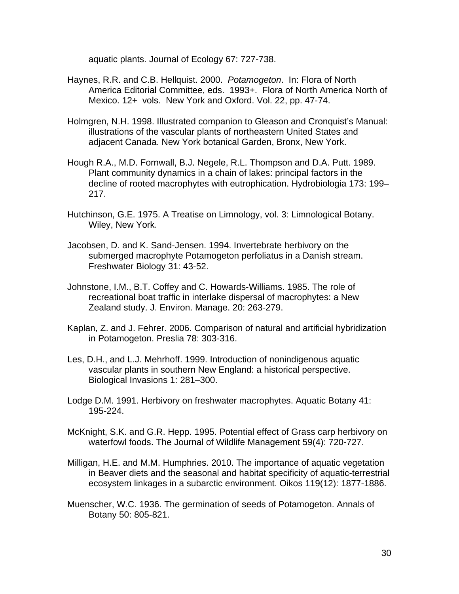aquatic plants. Journal of Ecology 67: 727-738.

- Haynes, R.R. and C.B. Hellquist. 2000. *Potamogeton*. In: Flora of North America Editorial Committee, eds. 1993+. Flora of North America North of Mexico. 12+ vols. New York and Oxford. Vol. 22, pp. 47-74.
- Holmgren, N.H. 1998. Illustrated companion to Gleason and Cronquist's Manual: illustrations of the vascular plants of northeastern United States and adjacent Canada. New York botanical Garden, Bronx, New York.
- Hough R.A., M.D. Fornwall, B.J. Negele, R.L. Thompson and D.A. Putt. 1989. Plant community dynamics in a chain of lakes: principal factors in the decline of rooted macrophytes with eutrophication. Hydrobiologia 173: 199– 217.
- Hutchinson, G.E. 1975. A Treatise on Limnology, vol. 3: Limnological Botany. Wiley, New York.
- Jacobsen, D. and K. Sand-Jensen. 1994. Invertebrate herbivory on the submerged macrophyte Potamogeton perfoliatus in a Danish stream. Freshwater Biology 31: 43-52.
- Johnstone, I.M., B.T. Coffey and C. Howards-Williams. 1985. The role of recreational boat traffic in interlake dispersal of macrophytes: a New Zealand study. J. Environ. Manage. 20: 263-279.
- Kaplan, Z. and J. Fehrer. 2006. Comparison of natural and artificial hybridization in Potamogeton. Preslia 78: 303-316.
- Les, D.H., and L.J. Mehrhoff. 1999. Introduction of nonindigenous aquatic vascular plants in southern New England: a historical perspective. Biological Invasions 1: 281–300.
- Lodge D.M. 1991. Herbivory on freshwater macrophytes. Aquatic Botany 41: 195-224.
- McKnight, S.K. and G.R. Hepp. 1995. Potential effect of Grass carp herbivory on waterfowl foods. The Journal of Wildlife Management 59(4): 720-727.
- Milligan, H.E. and M.M. Humphries. 2010. The importance of aquatic vegetation in Beaver diets and the seasonal and habitat specificity of aquatic-terrestrial ecosystem linkages in a subarctic environment. Oikos 119(12): 1877-1886.
- Muenscher, W.C. 1936. The germination of seeds of Potamogeton. Annals of Botany 50: 805-821.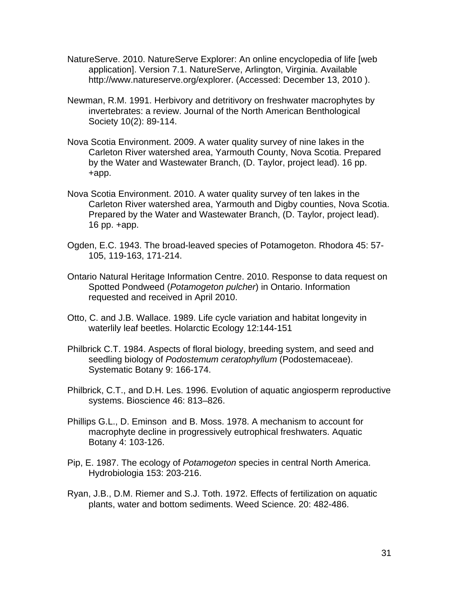- NatureServe. 2010. NatureServe Explorer: An online encyclopedia of life [web application]. Version 7.1. NatureServe, Arlington, Virginia. Available http://www.natureserve.org/explorer. (Accessed: December 13, 2010 ).
- Newman, R.M. 1991. Herbivory and detritivory on freshwater macrophytes by invertebrates: a review. Journal of the North American Benthological Society 10(2): 89-114.
- Nova Scotia Environment. 2009. A water quality survey of nine lakes in the Carleton River watershed area, Yarmouth County, Nova Scotia. Prepared by the Water and Wastewater Branch, (D. Taylor, project lead). 16 pp. +app.
- Nova Scotia Environment. 2010. A water quality survey of ten lakes in the Carleton River watershed area, Yarmouth and Digby counties, Nova Scotia. Prepared by the Water and Wastewater Branch, (D. Taylor, project lead). 16 pp. +app.
- Ogden, E.C. 1943. The broad-leaved species of Potamogeton. Rhodora 45: 57- 105, 119-163, 171-214.
- Ontario Natural Heritage Information Centre. 2010. Response to data request on Spotted Pondweed (*Potamogeton pulcher*) in Ontario. Information requested and received in April 2010.
- Otto, C. and J.B. Wallace. 1989. Life cycle variation and habitat longevity in waterlily leaf beetles. Holarctic Ecology 12:144-151
- Philbrick C.T. 1984. Aspects of floral biology, breeding system, and seed and seedling biology of *Podostemum ceratophyllum* (Podostemaceae). Systematic Botany 9: 166-174.
- Philbrick, C.T., and D.H. Les. 1996. Evolution of aquatic angiosperm reproductive systems. Bioscience 46: 813–826.
- Phillips G.L., D. Eminson and B. Moss. 1978. A mechanism to account for macrophyte decline in progressively eutrophical freshwaters. Aquatic Botany 4: 103-126.
- Pip, E. 1987. The ecology of *Potamogeton* species in central North America. Hydrobiologia 153: 203-216.
- Ryan, J.B., D.M. Riemer and S.J. Toth. 1972. Effects of fertilization on aquatic plants, water and bottom sediments. Weed Science. 20: 482-486.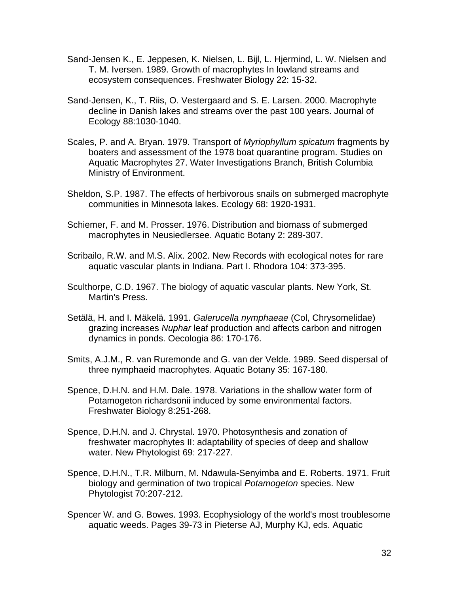- Sand-Jensen K., E. Jeppesen, K. Nielsen, L. Bijl, L. Hjermind, L. W. Nielsen and T. M. Iversen. 1989. Growth of macrophytes In lowland streams and ecosystem consequences. Freshwater Biology 22: 15-32.
- Sand-Jensen, K., T. Riis, O. Vestergaard and S. E. Larsen. 2000. Macrophyte decline in Danish lakes and streams over the past 100 years. Journal of Ecology 88:1030-1040.
- Scales, P. and A. Bryan. 1979. Transport of *Myriophyllum spicatum* fragments by boaters and assessment of the 1978 boat quarantine program. Studies on Aquatic Macrophytes 27. Water Investigations Branch, British Columbia Ministry of Environment.
- Sheldon, S.P. 1987. The effects of herbivorous snails on submerged macrophyte communities in Minnesota lakes. Ecology 68: 1920-1931.
- Schiemer, F. and M. Prosser. 1976. Distribution and biomass of submerged macrophytes in Neusiedlersee. Aquatic Botany 2: 289-307.
- Scribailo, R.W. and M.S. Alix. 2002. New Records with ecological notes for rare aquatic vascular plants in Indiana. Part I. Rhodora 104: 373-395.
- Sculthorpe, C.D. 1967. The biology of aquatic vascular plants. New York, St. Martin's Press.
- Setälä, H. and I. Mäkelä. 1991. *Galerucella nymphaeae* (Col, Chrysomelidae) grazing increases *Nuphar* leaf production and affects carbon and nitrogen dynamics in ponds. Oecologia 86: 170-176.
- Smits, A.J.M., R. van Ruremonde and G. van der Velde. 1989. Seed dispersal of three nymphaeid macrophytes. Aquatic Botany 35: 167-180.
- Spence, D.H.N. and H.M. Dale. 1978. Variations in the shallow water form of Potamogeton richardsonii induced by some environmental factors. Freshwater Biology 8:251-268.
- Spence, D.H.N. and J. Chrystal. 1970. Photosynthesis and zonation of freshwater macrophytes II: adaptability of species of deep and shallow water. New Phytologist 69: 217-227.
- Spence, D.H.N., T.R. Milburn, M. Ndawula-Senyimba and E. Roberts. 1971. Fruit biology and germination of two tropical *Potamogeton* species. New Phytologist 70:207-212.
- Spencer W. and G. Bowes. 1993. Ecophysiology of the world's most troublesome aquatic weeds. Pages 39-73 in Pieterse AJ, Murphy KJ, eds. Aquatic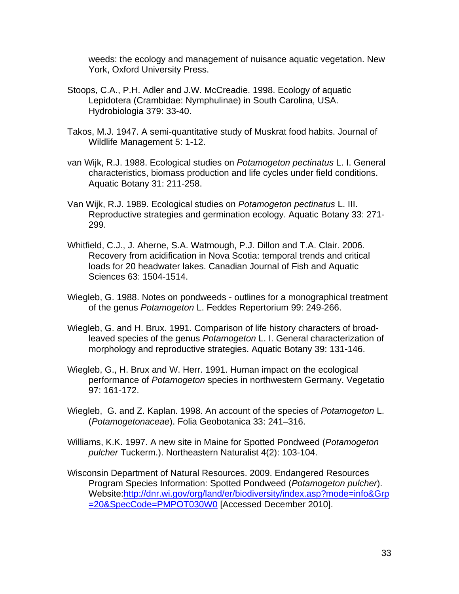weeds: the ecology and management of nuisance aquatic vegetation. New York, Oxford University Press.

- Stoops, C.A., P.H. Adler and J.W. McCreadie. 1998. Ecology of aquatic Lepidotera (Crambidae: Nymphulinae) in South Carolina, USA. Hydrobiologia 379: 33-40.
- Takos, M.J. 1947. A semi-quantitative study of Muskrat food habits. Journal of Wildlife Management 5: 1-12.
- van Wijk, R.J. 1988. Ecological studies on *Potamogeton pectinatus* L. I. General characteristics, biomass production and life cycles under field conditions. Aquatic Botany 31: 211-258.
- Van Wijk, R.J. 1989. Ecological studies on *Potamogeton pectinatus* L. III. Reproductive strategies and germination ecology. Aquatic Botany 33: 271- 299.
- Whitfield, C.J., J. Aherne, S.A. Watmough, P.J. Dillon and T.A. Clair. 2006. Recovery from acidification in Nova Scotia: temporal trends and critical loads for 20 headwater lakes. Canadian Journal of Fish and Aquatic Sciences 63: 1504-1514.
- Wiegleb, G. 1988. Notes on pondweeds outlines for a monographical treatment of the genus *Potamogeton* L. Feddes Repertorium 99: 249-266.
- Wiegleb, G. and H. Brux. 1991. Comparison of life history characters of broadleaved species of the genus *Potamogeton* L. I. General characterization of morphology and reproductive strategies. Aquatic Botany 39: 131-146.
- Wiegleb, G., H. Brux and W. Herr. 1991. Human impact on the ecological performance of *Potamogeton* species in northwestern Germany. Vegetatio 97: 161-172.
- Wiegleb, G. and Z. Kaplan. 1998. An account of the species of *Potamogeton* L. (*Potamogetonaceae*). Folia Geobotanica 33: 241–316.
- Williams, K.K. 1997. A new site in Maine for Spotted Pondweed (*Potamogeton pulcher* Tuckerm.). Northeastern Naturalist 4(2): 103-104.
- Wisconsin Department of Natural Resources. 2009. Endangered Resources Program Species Information: Spotted Pondweed (*Potamogeton pulcher*). Website:http://dnr.wi.gov/org/land/er/biodiversity/index.asp?mode=info&Grp =20&SpecCode=PMPOT030W0 [Accessed December 2010].